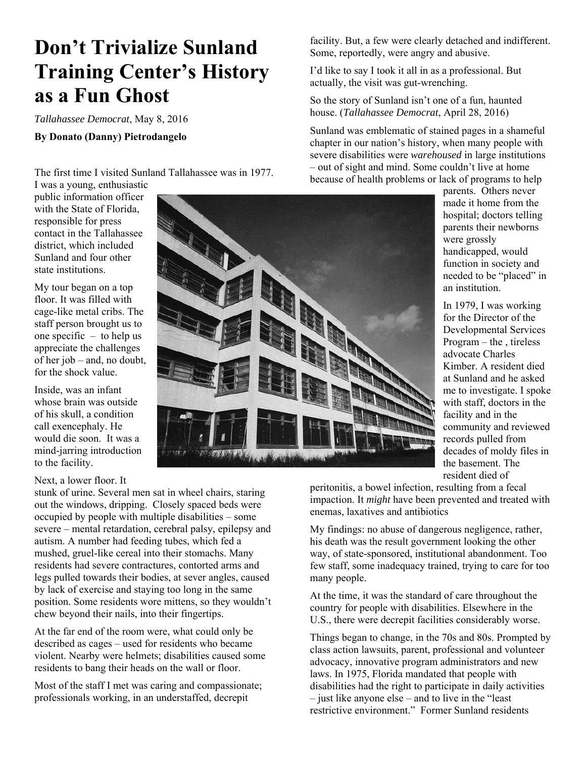## **Don't Trivialize Sunland Training Center's History as a Fun Ghost**

*Tallahassee Democrat*, May 8, 2016

## **By Donato (Danny) Pietrodangelo**

The first time I visited Sunland Tallahassee was in 1977. I was a young, enthusiastic

public information officer with the State of Florida, responsible for press contact in the Tallahassee district, which included Sunland and four other state institutions.

My tour began on a top floor. It was filled with cage-like metal cribs. The staff person brought us to one specific – to help us appreciate the challenges of her job – and, no doubt, for the shock value.

Inside, was an infant whose brain was outside of his skull, a condition call exencephaly. He would die soon. It was a mind-jarring introduction to the facility.

## Next, a lower floor. It

stunk of urine. Several men sat in wheel chairs, staring out the windows, dripping. Closely spaced beds were occupied by people with multiple disabilities – some severe – mental retardation, cerebral palsy, epilepsy and autism. A number had feeding tubes, which fed a mushed, gruel-like cereal into their stomachs. Many residents had severe contractures, contorted arms and legs pulled towards their bodies, at sever angles, caused by lack of exercise and staying too long in the same position. Some residents wore mittens, so they wouldn't chew beyond their nails, into their fingertips.

At the far end of the room were, what could only be described as cages – used for residents who became violent. Nearby were helmets; disabilities caused some residents to bang their heads on the wall or floor.

Most of the staff I met was caring and compassionate; professionals working, in an understaffed, decrepit

facility. But, a few were clearly detached and indifferent. Some, reportedly, were angry and abusive.

I'd like to say I took it all in as a professional. But actually, the visit was gut-wrenching.

So the story of Sunland isn't one of a fun, haunted house. (*Tallahassee Democrat*, April 28, 2016)

Sunland was emblematic of stained pages in a shameful chapter in our nation's history, when many people with severe disabilities were *warehoused* in large institutions – out of sight and mind. Some couldn't live at home because of health problems or lack of programs to help

parents. Others never made it home from the hospital; doctors telling parents their newborns were grossly handicapped, would function in society and needed to be "placed" in an institution.

In 1979, I was working for the Director of the Developmental Services Program – the , tireless advocate Charles Kimber. A resident died at Sunland and he asked me to investigate. I spoke with staff, doctors in the facility and in the community and reviewed records pulled from decades of moldy files in the basement. The resident died of

peritonitis, a bowel infection, resulting from a fecal impaction. It *might* have been prevented and treated with enemas, laxatives and antibiotics

My findings: no abuse of dangerous negligence, rather, his death was the result government looking the other way, of state-sponsored, institutional abandonment. Too few staff, some inadequacy trained, trying to care for too many people.

At the time, it was the standard of care throughout the country for people with disabilities. Elsewhere in the U.S., there were decrepit facilities considerably worse.

Things began to change, in the 70s and 80s. Prompted by class action lawsuits, parent, professional and volunteer advocacy, innovative program administrators and new laws. In 1975, Florida mandated that people with disabilities had the right to participate in daily activities – just like anyone else – and to live in the "least restrictive environment." Former Sunland residents